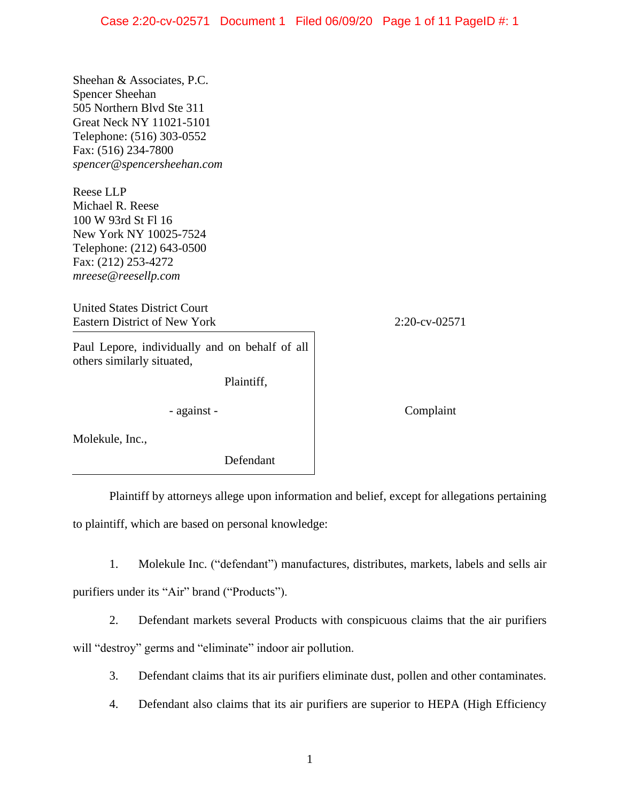Sheehan & Associates, P.C. Spencer Sheehan 505 Northern Blvd Ste 311 Great Neck NY 11021-5101 Telephone: (516) 303-0552 Fax: (516) 234-7800 *spencer@spencersheehan.com*

Reese LLP Michael R. Reese 100 W 93rd St Fl 16 New York NY 10025-7524 Telephone: (212) 643-0500 Fax: (212) 253-4272 *mreese@reesellp.com*

United States District Court Eastern District of New York 2:20-cv-02571

Paul Lepore, individually and on behalf of all others similarly situated,

Plaintiff,

- against - Complaint

Molekule, Inc.,

Defendant

Plaintiff by attorneys allege upon information and belief, except for allegations pertaining to plaintiff, which are based on personal knowledge:

1. Molekule Inc. ("defendant") manufactures, distributes, markets, labels and sells air

purifiers under its "Air" brand ("Products").

2. Defendant markets several Products with conspicuous claims that the air purifiers will "destroy" germs and "eliminate" indoor air pollution.

3. Defendant claims that its air purifiers eliminate dust, pollen and other contaminates.

4. Defendant also claims that its air purifiers are superior to HEPA (High Efficiency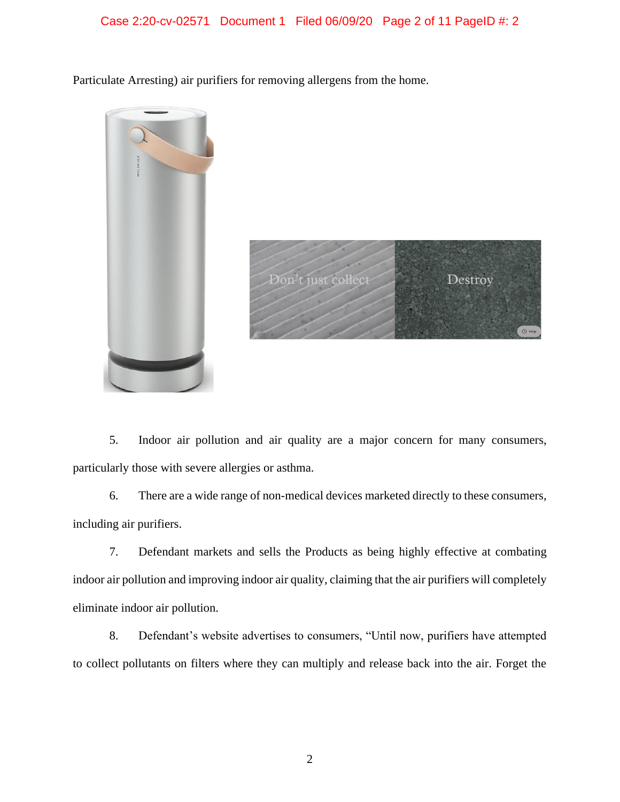Particulate Arresting) air purifiers for removing allergens from the home.



5. Indoor air pollution and air quality are a major concern for many consumers, particularly those with severe allergies or asthma.

6. There are a wide range of non-medical devices marketed directly to these consumers, including air purifiers.

7. Defendant markets and sells the Products as being highly effective at combating indoor air pollution and improving indoor air quality, claiming that the air purifiers will completely eliminate indoor air pollution.

8. Defendant's website advertises to consumers, "Until now, purifiers have attempted to collect pollutants on filters where they can multiply and release back into the air. Forget the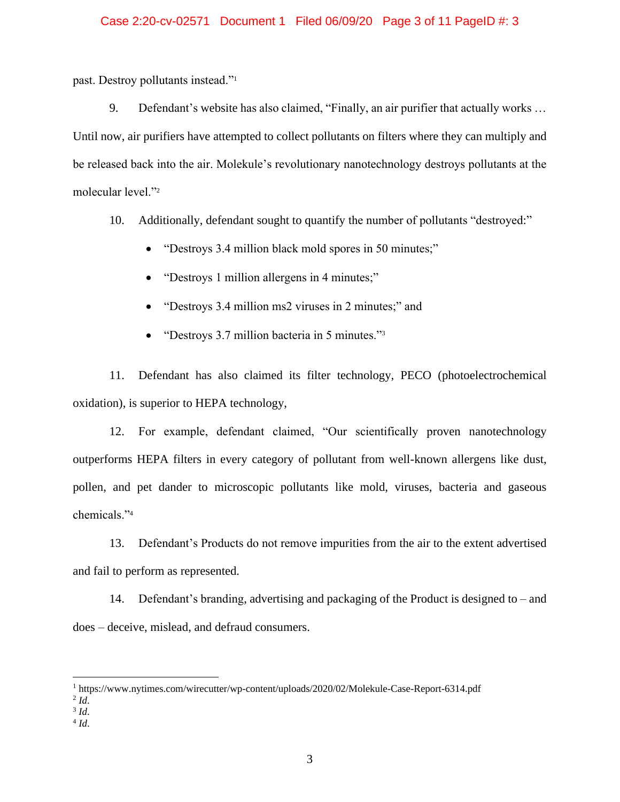#### Case 2:20-cv-02571 Document 1 Filed 06/09/20 Page 3 of 11 PageID #: 3

past. Destroy pollutants instead."<sup>1</sup>

9. Defendant's website has also claimed, "Finally, an air purifier that actually works … Until now, air purifiers have attempted to collect pollutants on filters where they can multiply and be released back into the air. Molekule's revolutionary nanotechnology destroys pollutants at the molecular level."<sup>2</sup>

10. Additionally, defendant sought to quantify the number of pollutants "destroyed:"

- "Destroys 3.4 million black mold spores in 50 minutes;"
- "Destroys 1 million allergens in 4 minutes;"
- "Destroys 3.4 million ms2 viruses in 2 minutes;" and
- "Destroys 3.7 million bacteria in 5 minutes."<sup>3</sup>

11. Defendant has also claimed its filter technology, PECO (photoelectrochemical oxidation), is superior to HEPA technology,

12. For example, defendant claimed, "Our scientifically proven nanotechnology outperforms HEPA filters in every category of pollutant from well-known allergens like dust, pollen, and pet dander to microscopic pollutants like mold, viruses, bacteria and gaseous chemicals."<sup>4</sup>

13. Defendant's Products do not remove impurities from the air to the extent advertised and fail to perform as represented.

14. Defendant's branding, advertising and packaging of the Product is designed to – and does – deceive, mislead, and defraud consumers.

4 *Id*.

<sup>1</sup> https://www.nytimes.com/wirecutter/wp-content/uploads/2020/02/Molekule-Case-Report-6314.pdf

<sup>2</sup> *Id*.

<sup>3</sup> *Id*.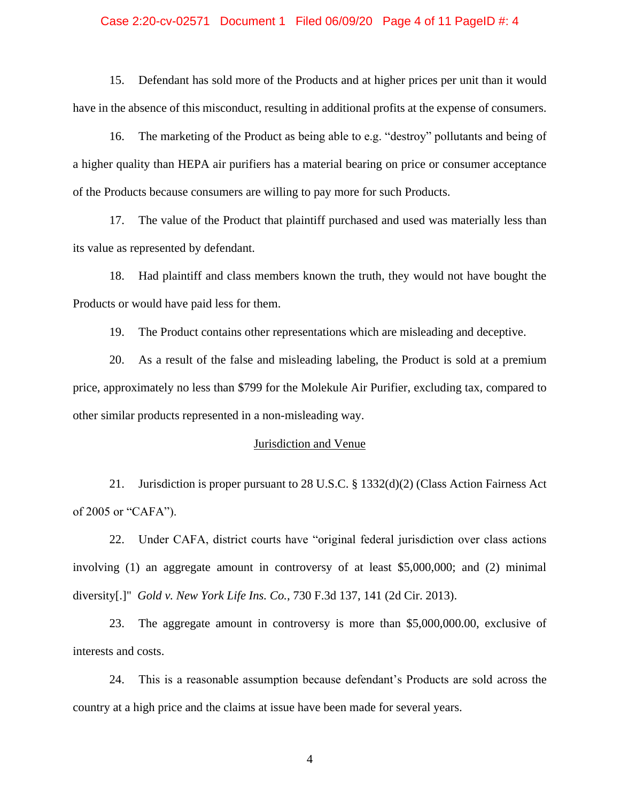#### Case 2:20-cv-02571 Document 1 Filed 06/09/20 Page 4 of 11 PageID #: 4

15. Defendant has sold more of the Products and at higher prices per unit than it would have in the absence of this misconduct, resulting in additional profits at the expense of consumers.

16. The marketing of the Product as being able to e.g. "destroy" pollutants and being of a higher quality than HEPA air purifiers has a material bearing on price or consumer acceptance of the Products because consumers are willing to pay more for such Products.

17. The value of the Product that plaintiff purchased and used was materially less than its value as represented by defendant.

18. Had plaintiff and class members known the truth, they would not have bought the Products or would have paid less for them.

19. The Product contains other representations which are misleading and deceptive.

20. As a result of the false and misleading labeling, the Product is sold at a premium price, approximately no less than \$799 for the Molekule Air Purifier, excluding tax, compared to other similar products represented in a non-misleading way.

#### Jurisdiction and Venue

21. Jurisdiction is proper pursuant to 28 U.S.C. § 1332(d)(2) (Class Action Fairness Act of 2005 or "CAFA").

22. Under CAFA, district courts have "original federal jurisdiction over class actions involving (1) an aggregate amount in controversy of at least \$5,000,000; and (2) minimal diversity[.]" *Gold v. New York Life Ins. Co.*, 730 F.3d 137, 141 (2d Cir. 2013).

23. The aggregate amount in controversy is more than \$5,000,000.00, exclusive of interests and costs.

24. This is a reasonable assumption because defendant's Products are sold across the country at a high price and the claims at issue have been made for several years.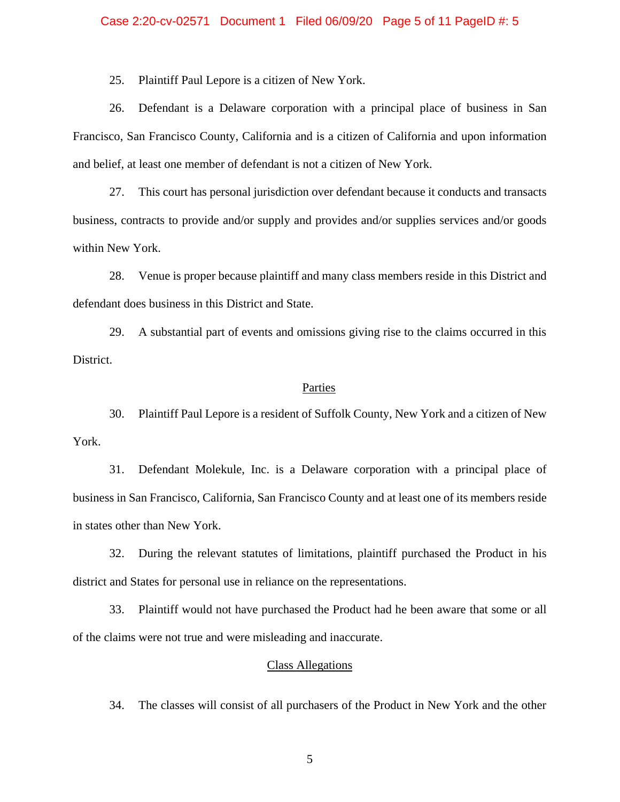#### Case 2:20-cv-02571 Document 1 Filed 06/09/20 Page 5 of 11 PageID #: 5

25. Plaintiff Paul Lepore is a citizen of New York.

26. Defendant is a Delaware corporation with a principal place of business in San Francisco, San Francisco County, California and is a citizen of California and upon information and belief, at least one member of defendant is not a citizen of New York.

27. This court has personal jurisdiction over defendant because it conducts and transacts business, contracts to provide and/or supply and provides and/or supplies services and/or goods within New York.

28. Venue is proper because plaintiff and many class members reside in this District and defendant does business in this District and State.

29. A substantial part of events and omissions giving rise to the claims occurred in this District.

#### Parties

30. Plaintiff Paul Lepore is a resident of Suffolk County, New York and a citizen of New York.

31. Defendant Molekule, Inc. is a Delaware corporation with a principal place of business in San Francisco, California, San Francisco County and at least one of its members reside in states other than New York.

32. During the relevant statutes of limitations, plaintiff purchased the Product in his district and States for personal use in reliance on the representations.

33. Plaintiff would not have purchased the Product had he been aware that some or all of the claims were not true and were misleading and inaccurate.

## Class Allegations

34. The classes will consist of all purchasers of the Product in New York and the other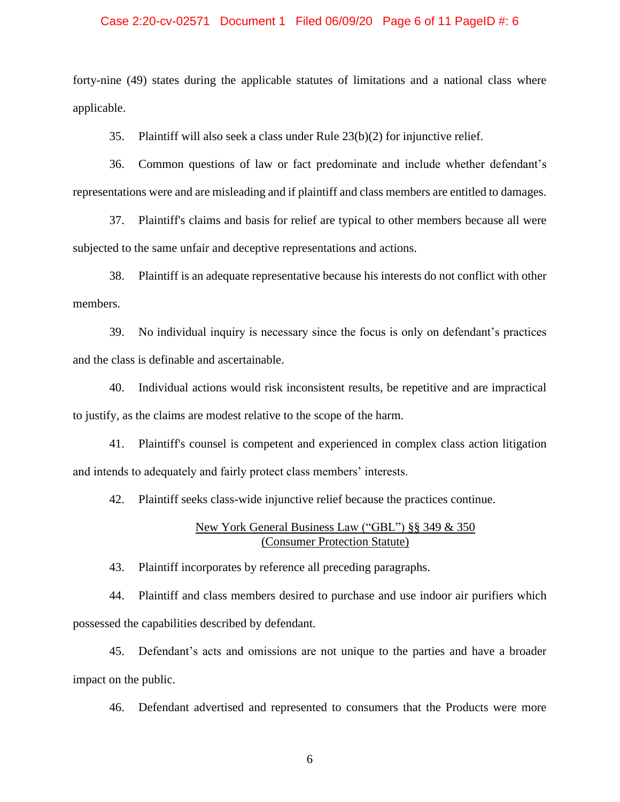#### Case 2:20-cv-02571 Document 1 Filed 06/09/20 Page 6 of 11 PageID #: 6

forty-nine (49) states during the applicable statutes of limitations and a national class where applicable.

35. Plaintiff will also seek a class under Rule 23(b)(2) for injunctive relief.

36. Common questions of law or fact predominate and include whether defendant's representations were and are misleading and if plaintiff and class members are entitled to damages.

37. Plaintiff's claims and basis for relief are typical to other members because all were subjected to the same unfair and deceptive representations and actions.

38. Plaintiff is an adequate representative because his interests do not conflict with other members.

39. No individual inquiry is necessary since the focus is only on defendant's practices and the class is definable and ascertainable.

40. Individual actions would risk inconsistent results, be repetitive and are impractical to justify, as the claims are modest relative to the scope of the harm.

41. Plaintiff's counsel is competent and experienced in complex class action litigation and intends to adequately and fairly protect class members' interests.

42. Plaintiff seeks class-wide injunctive relief because the practices continue.

## New York General Business Law ("GBL") §§ 349 & 350 (Consumer Protection Statute)

43. Plaintiff incorporates by reference all preceding paragraphs.

44. Plaintiff and class members desired to purchase and use indoor air purifiers which possessed the capabilities described by defendant.

45. Defendant's acts and omissions are not unique to the parties and have a broader impact on the public.

46. Defendant advertised and represented to consumers that the Products were more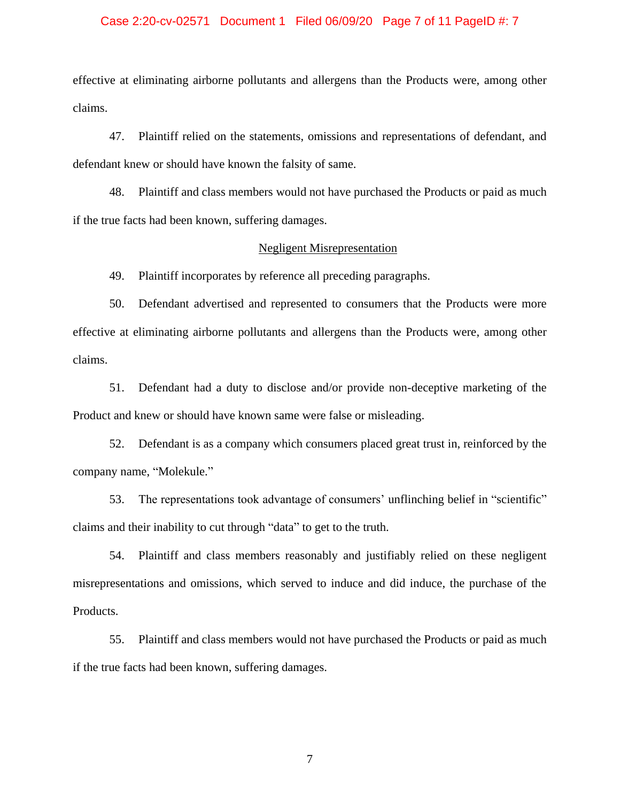#### Case 2:20-cv-02571 Document 1 Filed 06/09/20 Page 7 of 11 PageID #: 7

effective at eliminating airborne pollutants and allergens than the Products were, among other claims.

47. Plaintiff relied on the statements, omissions and representations of defendant, and defendant knew or should have known the falsity of same.

48. Plaintiff and class members would not have purchased the Products or paid as much if the true facts had been known, suffering damages.

#### Negligent Misrepresentation

49. Plaintiff incorporates by reference all preceding paragraphs.

50. Defendant advertised and represented to consumers that the Products were more effective at eliminating airborne pollutants and allergens than the Products were, among other claims.

51. Defendant had a duty to disclose and/or provide non-deceptive marketing of the Product and knew or should have known same were false or misleading.

52. Defendant is as a company which consumers placed great trust in, reinforced by the company name, "Molekule."

53. The representations took advantage of consumers' unflinching belief in "scientific" claims and their inability to cut through "data" to get to the truth.

54. Plaintiff and class members reasonably and justifiably relied on these negligent misrepresentations and omissions, which served to induce and did induce, the purchase of the Products.

55. Plaintiff and class members would not have purchased the Products or paid as much if the true facts had been known, suffering damages.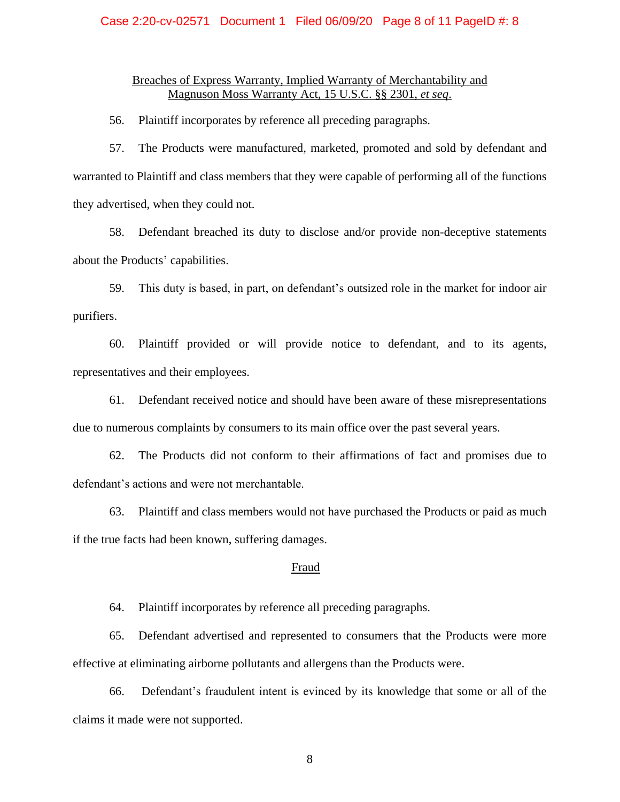#### Case 2:20-cv-02571 Document 1 Filed 06/09/20 Page 8 of 11 PageID #: 8

## Breaches of Express Warranty, Implied Warranty of Merchantability and Magnuson Moss Warranty Act, 15 U.S.C. §§ 2301, *et seq*.

56. Plaintiff incorporates by reference all preceding paragraphs.

57. The Products were manufactured, marketed, promoted and sold by defendant and warranted to Plaintiff and class members that they were capable of performing all of the functions they advertised, when they could not.

58. Defendant breached its duty to disclose and/or provide non-deceptive statements about the Products' capabilities.

59. This duty is based, in part, on defendant's outsized role in the market for indoor air purifiers.

60. Plaintiff provided or will provide notice to defendant, and to its agents, representatives and their employees.

61. Defendant received notice and should have been aware of these misrepresentations due to numerous complaints by consumers to its main office over the past several years.

62. The Products did not conform to their affirmations of fact and promises due to defendant's actions and were not merchantable.

63. Plaintiff and class members would not have purchased the Products or paid as much if the true facts had been known, suffering damages.

## Fraud

64. Plaintiff incorporates by reference all preceding paragraphs.

65. Defendant advertised and represented to consumers that the Products were more effective at eliminating airborne pollutants and allergens than the Products were.

66. Defendant's fraudulent intent is evinced by its knowledge that some or all of the claims it made were not supported.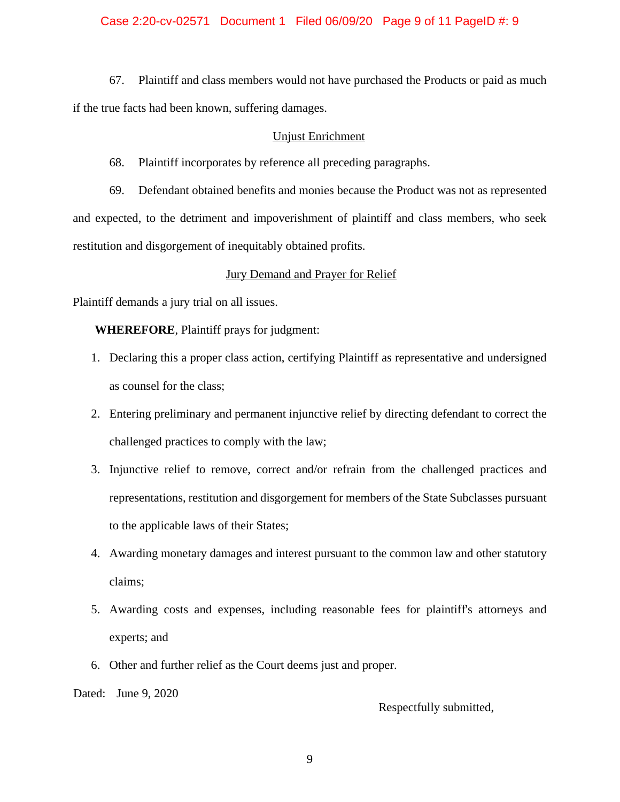#### Case 2:20-cv-02571 Document 1 Filed 06/09/20 Page 9 of 11 PageID #: 9

67. Plaintiff and class members would not have purchased the Products or paid as much if the true facts had been known, suffering damages.

#### Unjust Enrichment

68. Plaintiff incorporates by reference all preceding paragraphs.

69. Defendant obtained benefits and monies because the Product was not as represented and expected, to the detriment and impoverishment of plaintiff and class members, who seek restitution and disgorgement of inequitably obtained profits.

## Jury Demand and Prayer for Relief

Plaintiff demands a jury trial on all issues.

**WHEREFORE**, Plaintiff prays for judgment:

- 1. Declaring this a proper class action, certifying Plaintiff as representative and undersigned as counsel for the class;
- 2. Entering preliminary and permanent injunctive relief by directing defendant to correct the challenged practices to comply with the law;
- 3. Injunctive relief to remove, correct and/or refrain from the challenged practices and representations, restitution and disgorgement for members of the State Subclasses pursuant to the applicable laws of their States;
- 4. Awarding monetary damages and interest pursuant to the common law and other statutory claims;
- 5. Awarding costs and expenses, including reasonable fees for plaintiff's attorneys and experts; and
- 6. Other and further relief as the Court deems just and proper.

Dated: June 9, 2020

Respectfully submitted,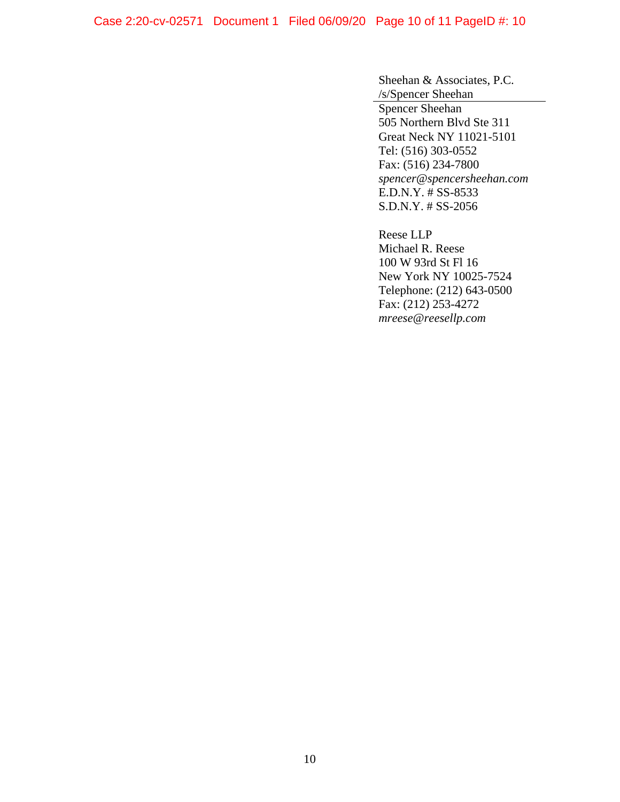## Case 2:20-cv-02571 Document 1 Filed 06/09/20 Page 10 of 11 PageID #: 10

Sheehan & Associates, P.C. /s/Spencer Sheehan Spencer Sheehan 505 Northern Blvd Ste 311 Great Neck NY 11021-5101 Tel: (516) 303-0552 Fax: (516) 234-7800 *spencer@spencersheehan.com* E.D.N.Y. # SS-8533 S.D.N.Y. # SS-2056

Reese LLP Michael R. Reese 100 W 93rd St Fl 16 New York NY 10025-7524 Telephone: (212) 643-0500 Fax: (212) 253-4272 *mreese@reesellp.com*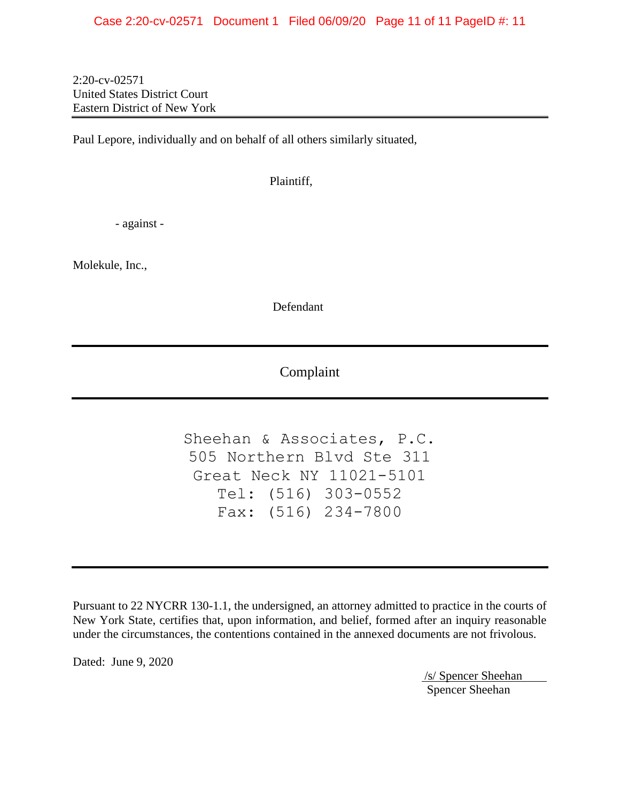2:20-cv-02571 United States District Court Eastern District of New York

Paul Lepore, individually and on behalf of all others similarly situated,

Plaintiff,

- against -

Molekule, Inc.,

Defendant

Complaint

Sheehan & Associates, P.C. 505 Northern Blvd Ste 311 Great Neck NY 11021-5101 Tel: (516) 303-0552 Fax: (516) 234-7800

Pursuant to 22 NYCRR 130-1.1, the undersigned, an attorney admitted to practice in the courts of New York State, certifies that, upon information, and belief, formed after an inquiry reasonable under the circumstances, the contentions contained in the annexed documents are not frivolous.

Dated: June 9, 2020

/s/ Spencer Sheehan Spencer Sheehan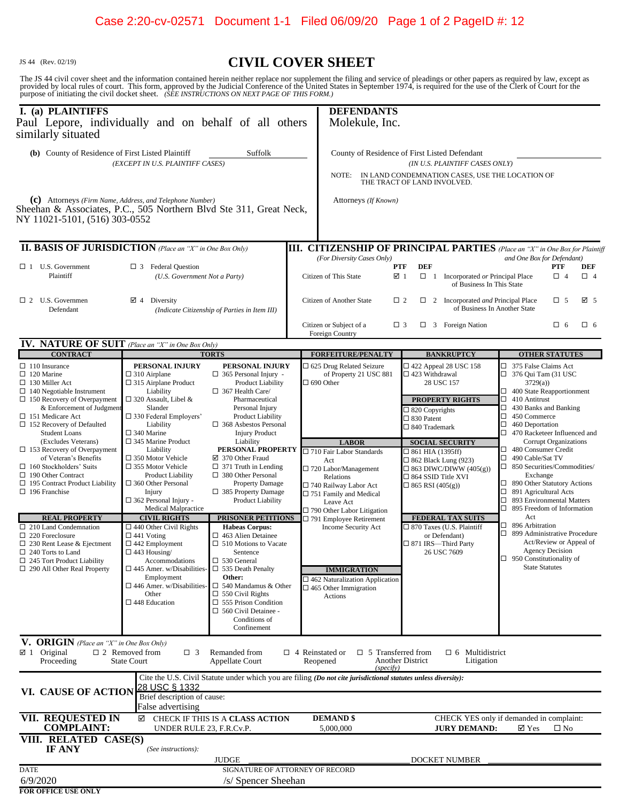# JS 44 (Rev. 02/19) **CIVIL COVER SHEET**

The JS 44 civil cover sheet and the information contained herein neither replace nor supplement the filing and service of pleadings or other papers as required by law, except as provided by local rules of court. This form,

| I. (a) PLAINTIFFS<br>Paul Lepore, individually and on behalf of all others<br>similarly situated                                                                                                                                                                                                                                                                                                                                                                                                                                                                                                                                                                                                      |                                                                                                                                                                                                                                                                                                                                                                                                                                                                                                                                                                                                                                                                                                                                  |                                                                                                                                                                                                                                                                                                                                                                                                                                                                                                                                                                                                                                                                                                                                                                                     | <b>DEFENDANTS</b><br>Molekule, Inc.                                                                                                                                                                                                                                                                                                                                                                                                                                   |                                                                                                                                                                                                                                                                                                                                                                                                                                                                                       |                                                                                                                                                                                                                                                                                                                                                                                                                                                                                                                                                                                                                                                                                                                       |  |  |
|-------------------------------------------------------------------------------------------------------------------------------------------------------------------------------------------------------------------------------------------------------------------------------------------------------------------------------------------------------------------------------------------------------------------------------------------------------------------------------------------------------------------------------------------------------------------------------------------------------------------------------------------------------------------------------------------------------|----------------------------------------------------------------------------------------------------------------------------------------------------------------------------------------------------------------------------------------------------------------------------------------------------------------------------------------------------------------------------------------------------------------------------------------------------------------------------------------------------------------------------------------------------------------------------------------------------------------------------------------------------------------------------------------------------------------------------------|-------------------------------------------------------------------------------------------------------------------------------------------------------------------------------------------------------------------------------------------------------------------------------------------------------------------------------------------------------------------------------------------------------------------------------------------------------------------------------------------------------------------------------------------------------------------------------------------------------------------------------------------------------------------------------------------------------------------------------------------------------------------------------------|-----------------------------------------------------------------------------------------------------------------------------------------------------------------------------------------------------------------------------------------------------------------------------------------------------------------------------------------------------------------------------------------------------------------------------------------------------------------------|---------------------------------------------------------------------------------------------------------------------------------------------------------------------------------------------------------------------------------------------------------------------------------------------------------------------------------------------------------------------------------------------------------------------------------------------------------------------------------------|-----------------------------------------------------------------------------------------------------------------------------------------------------------------------------------------------------------------------------------------------------------------------------------------------------------------------------------------------------------------------------------------------------------------------------------------------------------------------------------------------------------------------------------------------------------------------------------------------------------------------------------------------------------------------------------------------------------------------|--|--|
| (b) County of Residence of First Listed Plaintiff                                                                                                                                                                                                                                                                                                                                                                                                                                                                                                                                                                                                                                                     | (EXCEPT IN U.S. PLAINTIFF CASES)                                                                                                                                                                                                                                                                                                                                                                                                                                                                                                                                                                                                                                                                                                 | Suffolk                                                                                                                                                                                                                                                                                                                                                                                                                                                                                                                                                                                                                                                                                                                                                                             | County of Residence of First Listed Defendant<br>(IN U.S. PLAINTIFF CASES ONLY)<br>IN LAND CONDEMNATION CASES, USE THE LOCATION OF<br>NOTE:<br>THE TRACT OF LAND INVOLVED.                                                                                                                                                                                                                                                                                            |                                                                                                                                                                                                                                                                                                                                                                                                                                                                                       |                                                                                                                                                                                                                                                                                                                                                                                                                                                                                                                                                                                                                                                                                                                       |  |  |
| (c) Attorneys (Firm Name, Address, and Telephone Number)<br>Sheehan & Associates, P.C., 505 Northern Blvd Ste 311, Great Neck,<br>NY 11021-5101, (516) 303-0552                                                                                                                                                                                                                                                                                                                                                                                                                                                                                                                                       |                                                                                                                                                                                                                                                                                                                                                                                                                                                                                                                                                                                                                                                                                                                                  |                                                                                                                                                                                                                                                                                                                                                                                                                                                                                                                                                                                                                                                                                                                                                                                     | Attorneys (If Known)                                                                                                                                                                                                                                                                                                                                                                                                                                                  |                                                                                                                                                                                                                                                                                                                                                                                                                                                                                       |                                                                                                                                                                                                                                                                                                                                                                                                                                                                                                                                                                                                                                                                                                                       |  |  |
| <b>II. BASIS OF JURISDICTION</b> (Place an "X" in One Box Only)                                                                                                                                                                                                                                                                                                                                                                                                                                                                                                                                                                                                                                       |                                                                                                                                                                                                                                                                                                                                                                                                                                                                                                                                                                                                                                                                                                                                  |                                                                                                                                                                                                                                                                                                                                                                                                                                                                                                                                                                                                                                                                                                                                                                                     |                                                                                                                                                                                                                                                                                                                                                                                                                                                                       |                                                                                                                                                                                                                                                                                                                                                                                                                                                                                       | III. CITIZENSHIP OF PRINCIPAL PARTIES (Place an "X" in One Box for Plaintiff                                                                                                                                                                                                                                                                                                                                                                                                                                                                                                                                                                                                                                          |  |  |
| $\Box$ 1 U.S. Government<br>Plaintiff                                                                                                                                                                                                                                                                                                                                                                                                                                                                                                                                                                                                                                                                 | $\Box$ 3 Federal Question<br>(U.S. Government Not a Party)                                                                                                                                                                                                                                                                                                                                                                                                                                                                                                                                                                                                                                                                       |                                                                                                                                                                                                                                                                                                                                                                                                                                                                                                                                                                                                                                                                                                                                                                                     |                                                                                                                                                                                                                                                                                                                                                                                                                                                                       | (For Diversity Cases Only)<br><b>DEF</b><br><b>PTF</b><br>$\boxtimes$ 1<br>$\Box$ 1 Incorporated or Principal Place<br>of Business In This State                                                                                                                                                                                                                                                                                                                                      | and One Box for Defendant)<br><b>PTF</b><br>DEF<br>$\Box$ 4<br>$\Box$ 4                                                                                                                                                                                                                                                                                                                                                                                                                                                                                                                                                                                                                                               |  |  |
| $\square$ 2 U.S. Governmen<br>Defendant                                                                                                                                                                                                                                                                                                                                                                                                                                                                                                                                                                                                                                                               | $\boxtimes$ 4 Diversity<br>(Indicate Citizenship of Parties in Item III)                                                                                                                                                                                                                                                                                                                                                                                                                                                                                                                                                                                                                                                         |                                                                                                                                                                                                                                                                                                                                                                                                                                                                                                                                                                                                                                                                                                                                                                                     | Citizen of Another State                                                                                                                                                                                                                                                                                                                                                                                                                                              | $\Box$ 2<br>$\Box$ 2 Incorporated <i>and</i> Principal Place<br>of Business In Another State                                                                                                                                                                                                                                                                                                                                                                                          | ⊠ 5<br>$\Box$ 5                                                                                                                                                                                                                                                                                                                                                                                                                                                                                                                                                                                                                                                                                                       |  |  |
|                                                                                                                                                                                                                                                                                                                                                                                                                                                                                                                                                                                                                                                                                                       |                                                                                                                                                                                                                                                                                                                                                                                                                                                                                                                                                                                                                                                                                                                                  |                                                                                                                                                                                                                                                                                                                                                                                                                                                                                                                                                                                                                                                                                                                                                                                     | Citizen or Subject of a<br>Foreign Country                                                                                                                                                                                                                                                                                                                                                                                                                            | $\Box$ 3 Foreign Nation<br>$\Box$ 3                                                                                                                                                                                                                                                                                                                                                                                                                                                   | $\Box$ 6<br>$\Box$ 6                                                                                                                                                                                                                                                                                                                                                                                                                                                                                                                                                                                                                                                                                                  |  |  |
| <b>IV. NATURE OF SUIT</b> (Place an "X" in One Box Only)<br><b>CONTRACT</b>                                                                                                                                                                                                                                                                                                                                                                                                                                                                                                                                                                                                                           |                                                                                                                                                                                                                                                                                                                                                                                                                                                                                                                                                                                                                                                                                                                                  | <b>TORTS</b>                                                                                                                                                                                                                                                                                                                                                                                                                                                                                                                                                                                                                                                                                                                                                                        | <b>FORFEITURE/PENALTY</b>                                                                                                                                                                                                                                                                                                                                                                                                                                             | <b>BANKRUPTCY</b>                                                                                                                                                                                                                                                                                                                                                                                                                                                                     | <b>OTHER STATUTES</b>                                                                                                                                                                                                                                                                                                                                                                                                                                                                                                                                                                                                                                                                                                 |  |  |
| $\Box$ 110 Insurance<br>$\Box$ 120 Marine<br>$\Box$ 130 Miller Act<br>$\Box$ 140 Negotiable Instrument<br>$\Box$ 150 Recovery of Overpayment<br>& Enforcement of Judgment<br>□ 151 Medicare Act<br>□ 152 Recovery of Defaulted<br><b>Student Loans</b><br>(Excludes Veterans)<br>$\Box$ 153 Recovery of Overpayment<br>of Veteran's Benefits<br>$\Box$ 160 Stockholders' Suits<br>$\Box$ 190 Other Contract<br>$\Box$ 195 Contract Product Liability<br>$\Box$ 196 Franchise<br><b>REAL PROPERTY</b><br>$\Box$ 210 Land Condemnation<br>$\Box$ 220 Foreclosure<br>$\Box$ 230 Rent Lease & Ejectment<br>$\Box$ 240 Torts to Land<br>$\Box$ 245 Tort Product Liability<br>□ 290 All Other Real Property | PERSONAL INJURY<br>$\Box$ 310 Airplane<br>$\Box$ 315 Airplane Product<br>Liability<br>$\Box$ 320 Assault, Libel &<br>Slander<br>$\Box$ 330 Federal Employers'<br>Liability<br>$\square$ 340 Marine<br>$\square$ 345 Marine Product<br>Liability<br>$\square$ 350 Motor Vehicle<br>$\square$ 355 Motor Vehicle<br><b>Product Liability</b><br>$\square$ 360 Other Personal<br>Injury<br>$\Box$ 362 Personal Injury -<br><b>Medical Malpractice</b><br><b>CIVIL RIGHTS</b><br>$\Box$ 440 Other Civil Rights<br>$\Box$ 441 Voting<br>$\Box$ 442 Employment<br>$\Box$ 443 Housing/<br>Accommodations<br>$\square$ 445 Amer. w/Disabilities-<br>Employment<br>$\square$ 446 Amer. w/Disabilities-<br>Other<br>$\square$ 448 Education | PERSONAL INJURY<br>$\Box$ 365 Personal Injury -<br><b>Product Liability</b><br>$\Box$ 367 Health Care/<br>Pharmaceutical<br>Personal Injury<br><b>Product Liability</b><br>$\Box$ 368 Asbestos Personal<br><b>Injury Product</b><br>Liability<br>PERSONAL PROPERTY<br>☑ 370 Other Fraud<br>$\Box$ 371 Truth in Lending<br>$\Box$ 380 Other Personal<br><b>Property Damage</b><br>$\Box$ 385 Property Damage<br>Product Liability<br><b>PRISONER PETITIONS</b><br><b>Habeas Corpus:</b><br>$\Box$ 463 Alien Detainee<br>$\Box$ 510 Motions to Vacate<br>Sentence<br>$\Box$ 530 General<br>$\Box$ 535 Death Penalty<br>Other:<br>$\Box$ 540 Mandamus & Other<br>$\Box$ 550 Civil Rights<br>$\Box$ 555 Prison Condition<br>$\Box$ 560 Civil Detainee -<br>Conditions of<br>Confinement | $\Box$ 625 Drug Related Seizure<br>of Property 21 USC 881<br>$\Box$ 690 Other<br><b>LABOR</b><br>□ 710 Fair Labor Standards<br>Act<br>$\square$ 720 Labor/Management<br>Relations<br>□ 740 Railway Labor Act<br>$\Box$ 751 Family and Medical<br>Leave Act<br>$\Box$ 790 Other Labor Litigation<br>$\square$ 791 Employee Retirement<br>Income Security Act<br><b>IMMIGRATION</b><br>$\Box$ 462 Naturalization Application<br>$\Box$ 465 Other Immigration<br>Actions | $\Box$ 422 Appeal 28 USC 158<br>$\square$ 423 Withdrawal<br>28 USC 157<br><b>PROPERTY RIGHTS</b><br>$\Box$ 820 Copyrights<br>$\square$ 830 Patent<br>$\square$ 840 Trademark<br><b>SOCIAL SECURITY</b><br>$\Box$ 861 HIA (1395ff)<br>$\Box$ 862 Black Lung (923)<br>$\Box$ 863 DIWC/DIWW (405(g))<br>$\square$ 864 SSID Title XVI<br>$\Box$ 865 RSI (405(g))<br><b>FEDERAL TAX SUITS</b><br>□ 870 Taxes (U.S. Plaintiff<br>or Defendant)<br>$\Box$ 871 IRS-Third Party<br>26 USC 7609 | $\Box$ 375 False Claims Act<br>$\Box$ 376 Qui Tam (31 USC<br>3729(a)<br>400 State Reapportionment<br>$\Box$ 410 Antitrust<br>$\Box$ 430 Banks and Banking<br>$\Box$ 450 Commerce<br>$\Box$ 460 Deportation<br>$\Box$ 470 Racketeer Influenced and<br>Corrupt Organizations<br>480 Consumer Credit<br>490 Cable/Sat TV<br>$\Box$<br>$\Box$ 850 Securities/Commodities/<br>Exchange<br>$\Box$ 890 Other Statutory Actions<br>$\Box$ 891 Agricultural Acts<br>893 Environmental Matters<br>$\Box$<br>$\Box$ 895 Freedom of Information<br>Act<br>896 Arbitration<br>□<br>□ 899 Administrative Procedure<br>Act/Review or Appeal of<br><b>Agency Decision</b><br>$\Box$ 950 Constitutionality of<br><b>State Statutes</b> |  |  |
| V. ORIGIN (Place an "X" in One Box Only)<br>$\boxtimes$ 1 Original<br>Proceeding                                                                                                                                                                                                                                                                                                                                                                                                                                                                                                                                                                                                                      | $\Box$ 2 Removed from<br>$\Box$ 3<br><b>State Court</b>                                                                                                                                                                                                                                                                                                                                                                                                                                                                                                                                                                                                                                                                          | Remanded from<br><b>Appellate Court</b>                                                                                                                                                                                                                                                                                                                                                                                                                                                                                                                                                                                                                                                                                                                                             | $\Box$ 4 Reinstated or<br>Reopened<br>(specify)                                                                                                                                                                                                                                                                                                                                                                                                                       | $\Box$ 6 Multidistrict<br>$\Box$ 5 Transferred from<br><b>Another District</b><br>Litigation                                                                                                                                                                                                                                                                                                                                                                                          |                                                                                                                                                                                                                                                                                                                                                                                                                                                                                                                                                                                                                                                                                                                       |  |  |
| VI. CAUSE OF ACTION                                                                                                                                                                                                                                                                                                                                                                                                                                                                                                                                                                                                                                                                                   | 28 USC § 1332<br>Brief description of cause:<br>False advertising                                                                                                                                                                                                                                                                                                                                                                                                                                                                                                                                                                                                                                                                |                                                                                                                                                                                                                                                                                                                                                                                                                                                                                                                                                                                                                                                                                                                                                                                     | Cite the U.S. Civil Statute under which you are filing (Do not cite jurisdictional statutes unless diversity):                                                                                                                                                                                                                                                                                                                                                        |                                                                                                                                                                                                                                                                                                                                                                                                                                                                                       |                                                                                                                                                                                                                                                                                                                                                                                                                                                                                                                                                                                                                                                                                                                       |  |  |
| <b>VII. REQUESTED IN</b><br><b>COMPLAINT:</b>                                                                                                                                                                                                                                                                                                                                                                                                                                                                                                                                                                                                                                                         | ☑<br>UNDER RULE 23, F.R.Cv.P.                                                                                                                                                                                                                                                                                                                                                                                                                                                                                                                                                                                                                                                                                                    | CHECK IF THIS IS A CLASS ACTION                                                                                                                                                                                                                                                                                                                                                                                                                                                                                                                                                                                                                                                                                                                                                     | <b>DEMAND \$</b><br>5,000,000                                                                                                                                                                                                                                                                                                                                                                                                                                         | <b>JURY DEMAND:</b>                                                                                                                                                                                                                                                                                                                                                                                                                                                                   | CHECK YES only if demanded in complaint:<br>⊠ Yes<br>$\square$ No                                                                                                                                                                                                                                                                                                                                                                                                                                                                                                                                                                                                                                                     |  |  |
| VIII. RELATED CASE(S)<br><b>IF ANY</b>                                                                                                                                                                                                                                                                                                                                                                                                                                                                                                                                                                                                                                                                | (See instructions):                                                                                                                                                                                                                                                                                                                                                                                                                                                                                                                                                                                                                                                                                                              |                                                                                                                                                                                                                                                                                                                                                                                                                                                                                                                                                                                                                                                                                                                                                                                     |                                                                                                                                                                                                                                                                                                                                                                                                                                                                       |                                                                                                                                                                                                                                                                                                                                                                                                                                                                                       |                                                                                                                                                                                                                                                                                                                                                                                                                                                                                                                                                                                                                                                                                                                       |  |  |
| <b>DATE</b><br>6/9/2020                                                                                                                                                                                                                                                                                                                                                                                                                                                                                                                                                                                                                                                                               |                                                                                                                                                                                                                                                                                                                                                                                                                                                                                                                                                                                                                                                                                                                                  | <b>JUDGE</b><br>SIGNATURE OF ATTORNEY OF RECORD<br>/s/ Spencer Sheehan                                                                                                                                                                                                                                                                                                                                                                                                                                                                                                                                                                                                                                                                                                              |                                                                                                                                                                                                                                                                                                                                                                                                                                                                       | DOCKET NUMBER                                                                                                                                                                                                                                                                                                                                                                                                                                                                         |                                                                                                                                                                                                                                                                                                                                                                                                                                                                                                                                                                                                                                                                                                                       |  |  |
| <b>FOR OFFICE USE ONLY</b>                                                                                                                                                                                                                                                                                                                                                                                                                                                                                                                                                                                                                                                                            |                                                                                                                                                                                                                                                                                                                                                                                                                                                                                                                                                                                                                                                                                                                                  |                                                                                                                                                                                                                                                                                                                                                                                                                                                                                                                                                                                                                                                                                                                                                                                     |                                                                                                                                                                                                                                                                                                                                                                                                                                                                       |                                                                                                                                                                                                                                                                                                                                                                                                                                                                                       |                                                                                                                                                                                                                                                                                                                                                                                                                                                                                                                                                                                                                                                                                                                       |  |  |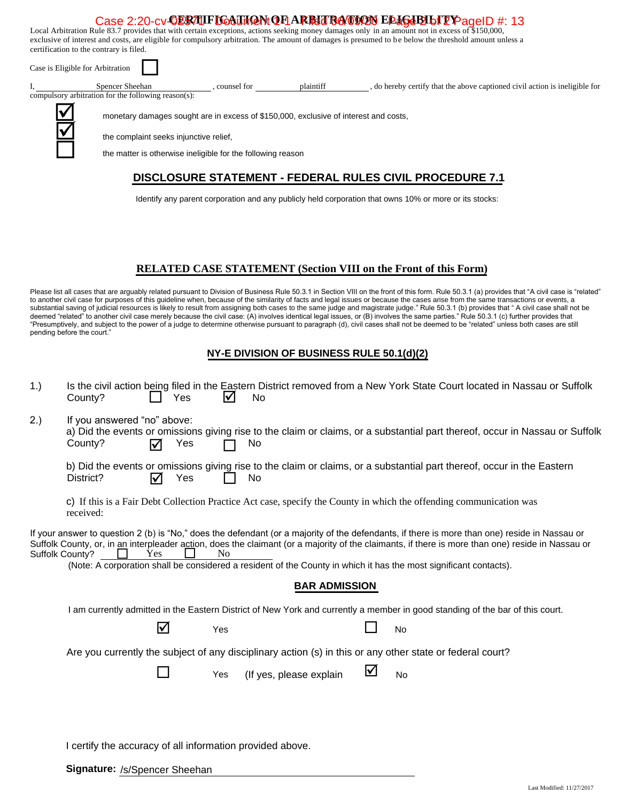# Case 2:20-cv-**02571 FLGATHON OF ARRIT BOOY 20 FLAGIBILITY** ageID #: 13

Local Arbitration Rule 83.7 provides that with certain exceptions, actions seeking money damages only in an amount not in excess of \$150,000, exclusive of interest and costs, are eligible for compulsory arbitration. The amount of damages is presumed to be below the threshold amount unless a certification to the contrary is filed.



compulsory arbitration for the following reason(s):

 $\overline{\underline{\mathsf{M}}}$ ☑  $\Box$ 

monetary damages sought are in excess of \$150,000, exclusive of interest and costs,

the complaint seeks injunctive relief,

the matter is otherwise ineligible for the following reason

## **DISCLOSURE STATEMENT - FEDERAL RULES CIVIL PROCEDURE 7.1**

Identify any parent corporation and any publicly held corporation that owns 10% or more or its stocks:

#### **RELATED CASE STATEMENT (Section VIII on the Front of this Form)**

Please list all cases that are arguably related pursuant to Division of Business Rule 50.3.1 in Section VIII on the front of this form. Rule 50.3.1 (a) provides that "A civil case is "related" to another civil case for purposes of this guideline when, because of the similarity of facts and legal issues or because the cases arise from the same transactions or events, a substantial saving of judicial resources is likely to result from assigning both cases to the same judge and magistrate judge." Rule 50.3.1 (b) provides that " A civil case shall not be deemed "related" to another civil case merely because the civil case: (A) involves identical legal issues, or (B) involves the same parties." Rule 50.3.1 (c) further provides that "Presumptively, and subject to the power of a judge to determine otherwise pursuant to paragraph (d), civil cases shall not be deemed to be "related" unless both cases are still pending before the court."

#### **NY-E DIVISION OF BUSINESS RULE 50.1(d)(2)**

| 1.)                                                                                                                                                                                                                                                                                                                                                                                                                                                                | County?                                                                                                   | Yes            | M   | No                                                        |   | Is the civil action being filed in the Eastern District removed from a New York State Court located in Nassau or Suffolk      |  |  |  |  |
|--------------------------------------------------------------------------------------------------------------------------------------------------------------------------------------------------------------------------------------------------------------------------------------------------------------------------------------------------------------------------------------------------------------------------------------------------------------------|-----------------------------------------------------------------------------------------------------------|----------------|-----|-----------------------------------------------------------|---|-------------------------------------------------------------------------------------------------------------------------------|--|--|--|--|
| 2.)                                                                                                                                                                                                                                                                                                                                                                                                                                                                | If you answered "no" above:<br>County?                                                                    | Yes<br>⊠       |     | No                                                        |   | a) Did the events or omissions giving rise to the claim or claims, or a substantial part thereof, occur in Nassau or Suffolk  |  |  |  |  |
|                                                                                                                                                                                                                                                                                                                                                                                                                                                                    | District?                                                                                                 | Yes<br>☑       |     | No                                                        |   | b) Did the events or omissions giving rise to the claim or claims, or a substantial part thereof, occur in the Eastern        |  |  |  |  |
|                                                                                                                                                                                                                                                                                                                                                                                                                                                                    | received:                                                                                                 |                |     |                                                           |   | c) If this is a Fair Debt Collection Practice Act case, specify the County in which the offending communication was           |  |  |  |  |
| If your answer to question 2 (b) is "No," does the defendant (or a majority of the defendants, if there is more than one) reside in Nassau or<br>Suffolk County, or, in an interpleader action, does the claimant (or a majority of the claimants, if there is more than one) reside in Nassau or<br>Suffolk County?<br>Yes<br>N <sub>0</sub><br>(Note: A corporation shall be considered a resident of the County in which it has the most significant contacts). |                                                                                                           |                |     |                                                           |   |                                                                                                                               |  |  |  |  |
| <b>BAR ADMISSION</b>                                                                                                                                                                                                                                                                                                                                                                                                                                               |                                                                                                           |                |     |                                                           |   |                                                                                                                               |  |  |  |  |
|                                                                                                                                                                                                                                                                                                                                                                                                                                                                    |                                                                                                           | ☑              |     |                                                           |   | I am currently admitted in the Eastern District of New York and currently a member in good standing of the bar of this court. |  |  |  |  |
|                                                                                                                                                                                                                                                                                                                                                                                                                                                                    |                                                                                                           |                | Yes |                                                           |   | No                                                                                                                            |  |  |  |  |
|                                                                                                                                                                                                                                                                                                                                                                                                                                                                    | Are you currently the subject of any disciplinary action (s) in this or any other state or federal court? |                |     |                                                           |   |                                                                                                                               |  |  |  |  |
|                                                                                                                                                                                                                                                                                                                                                                                                                                                                    |                                                                                                           | $\blacksquare$ | Yes | (If yes, please explain                                   | ⊻ | <b>No</b>                                                                                                                     |  |  |  |  |
|                                                                                                                                                                                                                                                                                                                                                                                                                                                                    |                                                                                                           |                |     |                                                           |   |                                                                                                                               |  |  |  |  |
|                                                                                                                                                                                                                                                                                                                                                                                                                                                                    |                                                                                                           |                |     | I certify the accuracy of all information provided above. |   |                                                                                                                               |  |  |  |  |
|                                                                                                                                                                                                                                                                                                                                                                                                                                                                    | Signature: /s/Spencer Sheehan                                                                             |                |     |                                                           |   |                                                                                                                               |  |  |  |  |

Last Modified: 11/27/2017